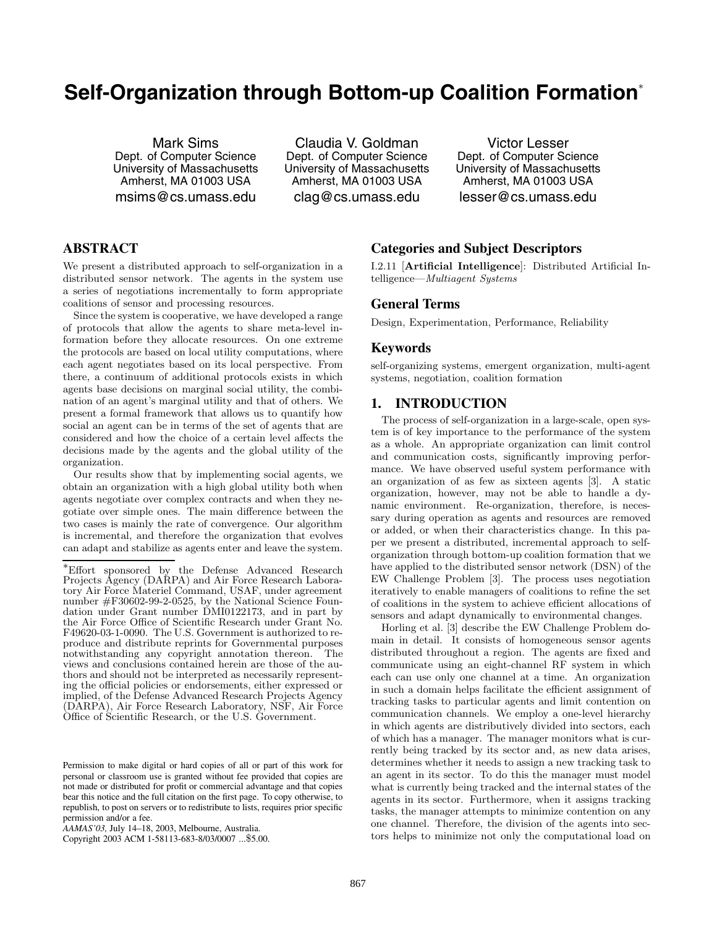# **Self-Organization through Bottom-up Coalition Formation**<sup>∗</sup>

Mark Sims Dept. of Computer Science University of Massachusetts Amherst, MA 01003 USA msims@cs.umass.edu

Claudia V. Goldman Dept. of Computer Science University of Massachusetts Amherst, MA 01003 USA clag@cs.umass.edu

Victor Lesser Dept. of Computer Science University of Massachusetts Amherst, MA 01003 USA lesser@cs.umass.edu

# **ABSTRACT**

We present a distributed approach to self-organization in a distributed sensor network. The agents in the system use a series of negotiations incrementally to form appropriate coalitions of sensor and processing resources.

Since the system is cooperative, we have developed a range of protocols that allow the agents to share meta-level information before they allocate resources. On one extreme the protocols are based on local utility computations, where each agent negotiates based on its local perspective. From there, a continuum of additional protocols exists in which agents base decisions on marginal social utility, the combination of an agent's marginal utility and that of others. We present a formal framework that allows us to quantify how social an agent can be in terms of the set of agents that are considered and how the choice of a certain level affects the decisions made by the agents and the global utility of the organization.

Our results show that by implementing social agents, we obtain an organization with a high global utility both when agents negotiate over complex contracts and when they negotiate over simple ones. The main difference between the two cases is mainly the rate of convergence. Our algorithm is incremental, and therefore the organization that evolves can adapt and stabilize as agents enter and leave the system.

## **Categories and Subject Descriptors**

I.2.11 [**Artificial Intelligence**]: Distributed Artificial Intelligence—*Multiagent Systems*

## **General Terms**

Design, Experimentation, Performance, Reliability

#### **Keywords**

self-organizing systems, emergent organization, multi-agent systems, negotiation, coalition formation

# **1. INTRODUCTION**

The process of self-organization in a large-scale, open system is of key importance to the performance of the system as a whole. An appropriate organization can limit control and communication costs, significantly improving performance. We have observed useful system performance with an organization of as few as sixteen agents [3]. A static organization, however, may not be able to handle a dynamic environment. Re-organization, therefore, is necessary during operation as agents and resources are removed or added, or when their characteristics change. In this paper we present a distributed, incremental approach to selforganization through bottom-up coalition formation that we have applied to the distributed sensor network (DSN) of the EW Challenge Problem [3]. The process uses negotiation iteratively to enable managers of coalitions to refine the set of coalitions in the system to achieve efficient allocations of sensors and adapt dynamically to environmental changes.

Horling et al. [3] describe the EW Challenge Problem domain in detail. It consists of homogeneous sensor agents distributed throughout a region. The agents are fixed and communicate using an eight-channel RF system in which each can use only one channel at a time. An organization in such a domain helps facilitate the efficient assignment of tracking tasks to particular agents and limit contention on communication channels. We employ a one-level hierarchy in which agents are distributively divided into sectors, each of which has a manager. The manager monitors what is currently being tracked by its sector and, as new data arises, determines whether it needs to assign a new tracking task to an agent in its sector. To do this the manager must model what is currently being tracked and the internal states of the agents in its sector. Furthermore, when it assigns tracking tasks, the manager attempts to minimize contention on any one channel. Therefore, the division of the agents into sectors helps to minimize not only the computational load on

<sup>∗</sup>Effort sponsored by the Defense Advanced Research Projects Agency (DARPA) and Air Force Research Laboratory Air Force Materiel Command, USAF, under agreement number #F30602-99-2-0525, by the National Science Foundation under Grant number DMI0122173, and in part by the Air Force Office of Scientific Research under Grant No. F49620-03-1-0090. The U.S. Government is authorized to reproduce and distribute reprints for Governmental purposes notwithstanding any copyright annotation thereon. The views and conclusions contained herein are those of the authors and should not be interpreted as necessarily representing the official policies or endorsements, either expressed or implied, of the Defense Advanced Research Projects Agency (DARPA), Air Force Research Laboratory, NSF, Air Force Office of Scientific Research, or the U.S. Government.

Permission to make digital or hard copies of all or part of this work for personal or classroom use is granted without fee provided that copies are not made or distributed for profit or commercial advantage and that copies bear this notice and the full citation on the first page. To copy otherwise, to republish, to post on servers or to redistribute to lists, requires prior specific permission and/or a fee.

*AAMAS'03,* July 14–18, 2003, Melbourne, Australia.

Copyright 2003 ACM 1-58113-683-8/03/0007 ...\$5.00.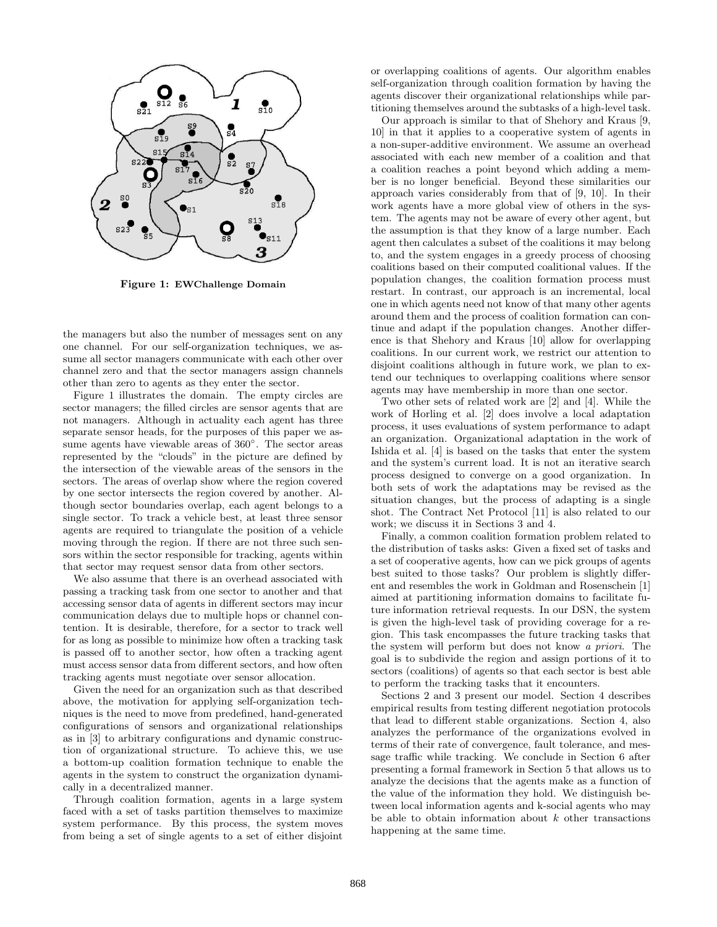

**Figure 1: EWChallenge Domain**

the managers but also the number of messages sent on any one channel. For our self-organization techniques, we assume all sector managers communicate with each other over channel zero and that the sector managers assign channels other than zero to agents as they enter the sector.

Figure 1 illustrates the domain. The empty circles are sector managers; the filled circles are sensor agents that are not managers. Although in actuality each agent has three separate sensor heads, for the purposes of this paper we assume agents have viewable areas of 360◦. The sector areas represented by the "clouds" in the picture are defined by the intersection of the viewable areas of the sensors in the sectors. The areas of overlap show where the region covered by one sector intersects the region covered by another. Although sector boundaries overlap, each agent belongs to a single sector. To track a vehicle best, at least three sensor agents are required to triangulate the position of a vehicle moving through the region. If there are not three such sensors within the sector responsible for tracking, agents within that sector may request sensor data from other sectors.

We also assume that there is an overhead associated with passing a tracking task from one sector to another and that accessing sensor data of agents in different sectors may incur communication delays due to multiple hops or channel contention. It is desirable, therefore, for a sector to track well for as long as possible to minimize how often a tracking task is passed off to another sector, how often a tracking agent must access sensor data from different sectors, and how often tracking agents must negotiate over sensor allocation.

Given the need for an organization such as that described above, the motivation for applying self-organization techniques is the need to move from predefined, hand-generated configurations of sensors and organizational relationships as in [3] to arbitrary configurations and dynamic construction of organizational structure. To achieve this, we use a bottom-up coalition formation technique to enable the agents in the system to construct the organization dynamically in a decentralized manner.

Through coalition formation, agents in a large system faced with a set of tasks partition themselves to maximize system performance. By this process, the system moves from being a set of single agents to a set of either disjoint

or overlapping coalitions of agents. Our algorithm enables self-organization through coalition formation by having the agents discover their organizational relationships while partitioning themselves around the subtasks of a high-level task.

Our approach is similar to that of Shehory and Kraus [9, 10] in that it applies to a cooperative system of agents in a non-super-additive environment. We assume an overhead associated with each new member of a coalition and that a coalition reaches a point beyond which adding a member is no longer beneficial. Beyond these similarities our approach varies considerably from that of [9, 10]. In their work agents have a more global view of others in the system. The agents may not be aware of every other agent, but the assumption is that they know of a large number. Each agent then calculates a subset of the coalitions it may belong to, and the system engages in a greedy process of choosing coalitions based on their computed coalitional values. If the population changes, the coalition formation process must restart. In contrast, our approach is an incremental, local one in which agents need not know of that many other agents around them and the process of coalition formation can continue and adapt if the population changes. Another difference is that Shehory and Kraus [10] allow for overlapping coalitions. In our current work, we restrict our attention to disjoint coalitions although in future work, we plan to extend our techniques to overlapping coalitions where sensor agents may have membership in more than one sector.

Two other sets of related work are [2] and [4]. While the work of Horling et al. [2] does involve a local adaptation process, it uses evaluations of system performance to adapt an organization. Organizational adaptation in the work of Ishida et al. [4] is based on the tasks that enter the system and the system's current load. It is not an iterative search process designed to converge on a good organization. In both sets of work the adaptations may be revised as the situation changes, but the process of adapting is a single shot. The Contract Net Protocol [11] is also related to our work; we discuss it in Sections 3 and 4.

Finally, a common coalition formation problem related to the distribution of tasks asks: Given a fixed set of tasks and a set of cooperative agents, how can we pick groups of agents best suited to those tasks? Our problem is slightly different and resembles the work in Goldman and Rosenschein [1] aimed at partitioning information domains to facilitate future information retrieval requests. In our DSN, the system is given the high-level task of providing coverage for a region. This task encompasses the future tracking tasks that the system will perform but does not know *a priori*. The goal is to subdivide the region and assign portions of it to sectors (coalitions) of agents so that each sector is best able to perform the tracking tasks that it encounters.

Sections 2 and 3 present our model. Section 4 describes empirical results from testing different negotiation protocols that lead to different stable organizations. Section 4, also analyzes the performance of the organizations evolved in terms of their rate of convergence, fault tolerance, and message traffic while tracking. We conclude in Section 6 after presenting a formal framework in Section 5 that allows us to analyze the decisions that the agents make as a function of the value of the information they hold. We distinguish between local information agents and k-social agents who may be able to obtain information about *k* other transactions happening at the same time.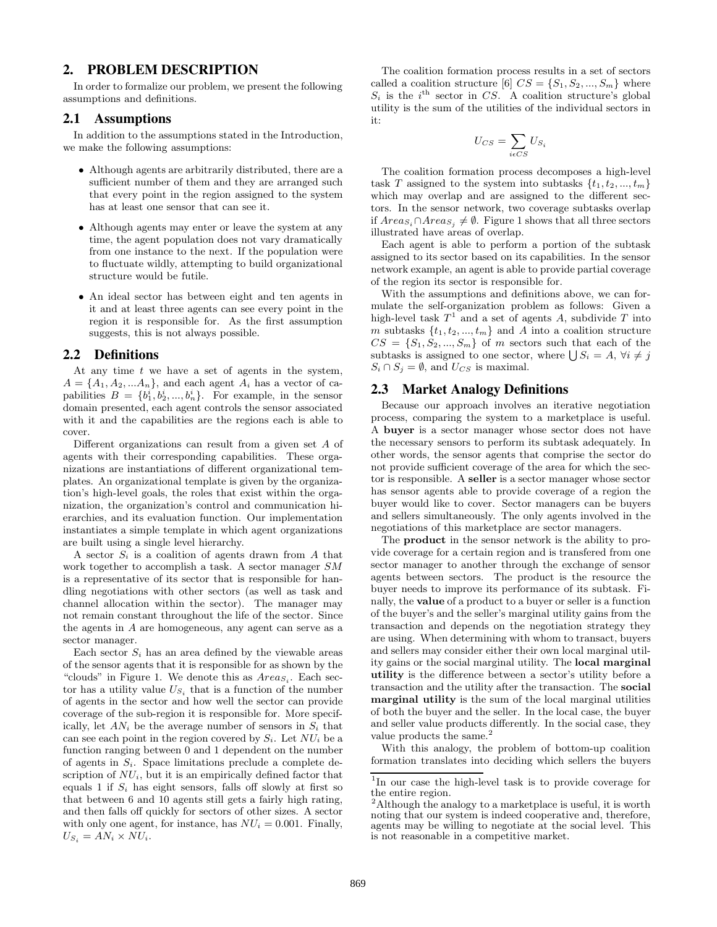# **2. PROBLEM DESCRIPTION**

In order to formalize our problem, we present the following assumptions and definitions.

## **2.1 Assumptions**

In addition to the assumptions stated in the Introduction, we make the following assumptions:

- Although agents are arbitrarily distributed, there are a sufficient number of them and they are arranged such that every point in the region assigned to the system has at least one sensor that can see it.
- Although agents may enter or leave the system at any time, the agent population does not vary dramatically from one instance to the next. If the population were to fluctuate wildly, attempting to build organizational structure would be futile.
- An ideal sector has between eight and ten agents in it and at least three agents can see every point in the region it is responsible for. As the first assumption suggests, this is not always possible.

## **2.2 Definitions**

At any time *t* we have a set of agents in the system,  $A = \{A_1, A_2, \ldots, A_n\}$ , and each agent  $A_i$  has a vector of capabilities  $B = \{b_1^i, b_2^i, ..., b_n^i\}$ . For example, in the sensor domain presented, each agent controls the sensor associated with it and the capabilities are the regions each is able to cover.

Different organizations can result from a given set *A* of agents with their corresponding capabilities. These organizations are instantiations of different organizational templates. An organizational template is given by the organization's high-level goals, the roles that exist within the organization, the organization's control and communication hierarchies, and its evaluation function. Our implementation instantiates a simple template in which agent organizations are built using a single level hierarchy.

A sector *S*<sup>i</sup> is a coalition of agents drawn from *A* that work together to accomplish a task. A sector manager *SM* is a representative of its sector that is responsible for handling negotiations with other sectors (as well as task and channel allocation within the sector). The manager may not remain constant throughout the life of the sector. Since the agents in *A* are homogeneous, any agent can serve as a sector manager.

Each sector  $S_i$  has an area defined by the viewable areas of the sensor agents that it is responsible for as shown by the "clouds" in Figure 1. We denote this as  $Area_{S_i}$ . Each sector has a utility value  $U_{S_i}$  that is a function of the number of agents in the sector and how well the sector can provide coverage of the sub-region it is responsible for. More specifically, let  $AN_i$  be the average number of sensors in  $S_i$  that can see each point in the region covered by  $S_i$ . Let  $NU_i$  be a function ranging between 0 and 1 dependent on the number of agents in *S*i. Space limitations preclude a complete description of  $NU<sub>i</sub>$ , but it is an empirically defined factor that equals 1 if  $S_i$  has eight sensors, falls off slowly at first so that between 6 and 10 agents still gets a fairly high rating, and then falls off quickly for sectors of other sizes. A sector with only one agent, for instance, has  $NU_i = 0.001$ . Finally,  $U_{S_i} = AN_i \times NU_i.$ 

The coalition formation process results in a set of sectors called a coalition structure [6]  $CS = \{S_1, S_2, ..., S_m\}$  where  $S_i$  is the  $i^{\text{th}}$  sector in *CS*. A coalition structure's global utility is the sum of the utilities of the individual sectors in it:

$$
U_{CS} = \sum_{i \in CS} U_{S_i}
$$

The coalition formation process decomposes a high-level task *T* assigned to the system into subtasks  $\{t_1, t_2, ..., t_m\}$ which may overlap and are assigned to the different sectors. In the sensor network, two coverage subtasks overlap if  $Area_{S_i}$  ∩ $Area_{S_i}$   $\neq$  *Ø*. Figure 1 shows that all three sectors illustrated have areas of overlap.

Each agent is able to perform a portion of the subtask assigned to its sector based on its capabilities. In the sensor network example, an agent is able to provide partial coverage of the region its sector is responsible for.

With the assumptions and definitions above, we can formulate the self-organization problem as follows: Given a high-level task  $T^1$  and a set of agents A, subdivide T into *m* subtasks  $\{t_1, t_2, ..., t_m\}$  and *A* into a coalition structure  $CS = \{S_1, S_2, ..., S_m\}$  of *m* sectors such that each of the subtasks is assigned to one sector, where  $\bigcup S_i = A, \forall i \neq j$  $S_i \cap S_j = \emptyset$ , and  $U_{CS}$  is maximal.

#### **2.3 Market Analogy Definitions**

Because our approach involves an iterative negotiation process, comparing the system to a marketplace is useful. A **buyer** is a sector manager whose sector does not have the necessary sensors to perform its subtask adequately. In other words, the sensor agents that comprise the sector do not provide sufficient coverage of the area for which the sector is responsible. A **seller** is a sector manager whose sector has sensor agents able to provide coverage of a region the buyer would like to cover. Sector managers can be buyers and sellers simultaneously. The only agents involved in the negotiations of this marketplace are sector managers.

The **product** in the sensor network is the ability to provide coverage for a certain region and is transfered from one sector manager to another through the exchange of sensor agents between sectors. The product is the resource the buyer needs to improve its performance of its subtask. Finally, the **value** of a product to a buyer or seller is a function of the buyer's and the seller's marginal utility gains from the transaction and depends on the negotiation strategy they are using. When determining with whom to transact, buyers and sellers may consider either their own local marginal utility gains or the social marginal utility. The **local marginal utility** is the difference between a sector's utility before a transaction and the utility after the transaction. The **social marginal utility** is the sum of the local marginal utilities of both the buyer and the seller. In the local case, the buyer and seller value products differently. In the social case, they value products the same.<sup>2</sup>

With this analogy, the problem of bottom-up coalition formation translates into deciding which sellers the buyers

<sup>&</sup>lt;sup>1</sup>In our case the high-level task is to provide coverage for the entire region.

<sup>&</sup>lt;sup>2</sup>Although the analogy to a marketplace is useful, it is worth noting that our system is indeed cooperative and, therefore, agents may be willing to negotiate at the social level. This is not reasonable in a competitive market.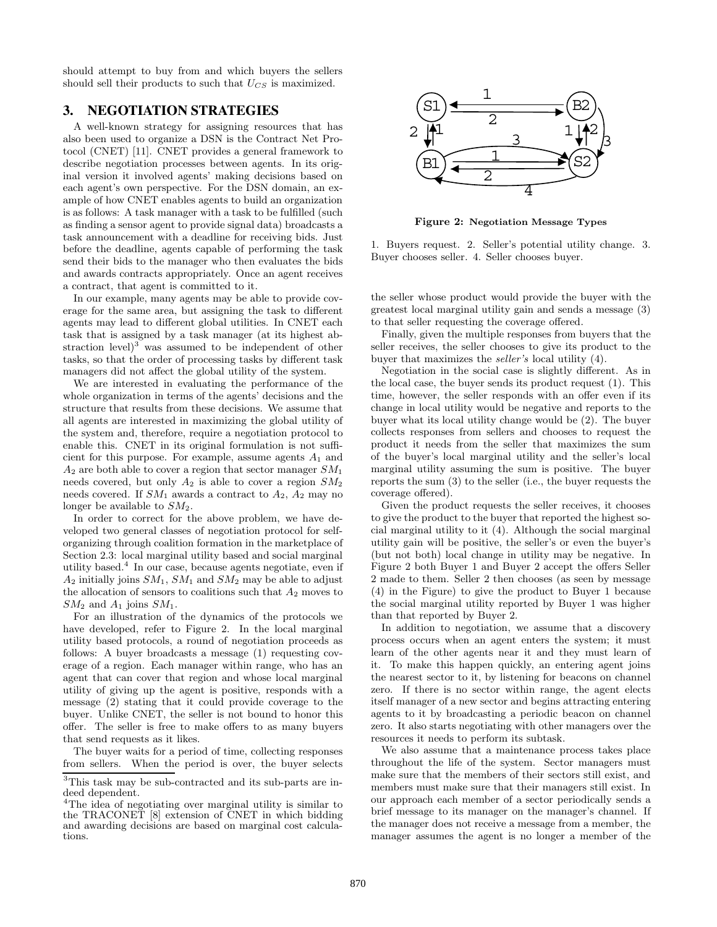should attempt to buy from and which buyers the sellers should sell their products to such that  $U_{CS}$  is maximized.

# **3. NEGOTIATION STRATEGIES**

A well-known strategy for assigning resources that has also been used to organize a DSN is the Contract Net Protocol (CNET) [11]. CNET provides a general framework to describe negotiation processes between agents. In its original version it involved agents' making decisions based on each agent's own perspective. For the DSN domain, an example of how CNET enables agents to build an organization is as follows: A task manager with a task to be fulfilled (such as finding a sensor agent to provide signal data) broadcasts a task announcement with a deadline for receiving bids. Just before the deadline, agents capable of performing the task send their bids to the manager who then evaluates the bids and awards contracts appropriately. Once an agent receives a contract, that agent is committed to it.

In our example, many agents may be able to provide coverage for the same area, but assigning the task to different agents may lead to different global utilities. In CNET each task that is assigned by a task manager (at its highest abstraction level) $3$  was assumed to be independent of other tasks, so that the order of processing tasks by different task managers did not affect the global utility of the system.

We are interested in evaluating the performance of the whole organization in terms of the agents' decisions and the structure that results from these decisions. We assume that all agents are interested in maximizing the global utility of the system and, therefore, require a negotiation protocol to enable this. CNET in its original formulation is not sufficient for this purpose. For example, assume agents  $A_1$  and *A*<sup>2</sup> are both able to cover a region that sector manager *SM*<sup>1</sup> needs covered, but only *A*<sup>2</sup> is able to cover a region *SM*<sup>2</sup> needs covered. If *SM*<sup>1</sup> awards a contract to *A*2, *A*<sup>2</sup> may no longer be available to *SM*2.

In order to correct for the above problem, we have developed two general classes of negotiation protocol for selforganizing through coalition formation in the marketplace of Section 2.3: local marginal utility based and social marginal utility based.<sup>4</sup> In our case, because agents negotiate, even if *A*<sup>2</sup> initially joins *SM*1, *SM*<sup>1</sup> and *SM*<sup>2</sup> may be able to adjust the allocation of sensors to coalitions such that *A*<sup>2</sup> moves to  $SM_2$  and  $A_1$  joins  $SM_1$ .

For an illustration of the dynamics of the protocols we have developed, refer to Figure 2. In the local marginal utility based protocols, a round of negotiation proceeds as follows: A buyer broadcasts a message (1) requesting coverage of a region. Each manager within range, who has an agent that can cover that region and whose local marginal utility of giving up the agent is positive, responds with a message (2) stating that it could provide coverage to the buyer. Unlike CNET, the seller is not bound to honor this offer. The seller is free to make offers to as many buyers that send requests as it likes.

The buyer waits for a period of time, collecting responses from sellers. When the period is over, the buyer selects



**Figure 2: Negotiation Message Types**

1. Buyers request. 2. Seller's potential utility change. 3. Buyer chooses seller. 4. Seller chooses buyer.

the seller whose product would provide the buyer with the greatest local marginal utility gain and sends a message (3) to that seller requesting the coverage offered.

Finally, given the multiple responses from buyers that the seller receives, the seller chooses to give its product to the buyer that maximizes the *seller's* local utility (4).

Negotiation in the social case is slightly different. As in the local case, the buyer sends its product request (1). This time, however, the seller responds with an offer even if its change in local utility would be negative and reports to the buyer what its local utility change would be (2). The buyer collects responses from sellers and chooses to request the product it needs from the seller that maximizes the sum of the buyer's local marginal utility and the seller's local marginal utility assuming the sum is positive. The buyer reports the sum (3) to the seller (i.e., the buyer requests the coverage offered).

Given the product requests the seller receives, it chooses to give the product to the buyer that reported the highest social marginal utility to it (4). Although the social marginal utility gain will be positive, the seller's or even the buyer's (but not both) local change in utility may be negative. In Figure 2 both Buyer 1 and Buyer 2 accept the offers Seller 2 made to them. Seller 2 then chooses (as seen by message (4) in the Figure) to give the product to Buyer 1 because the social marginal utility reported by Buyer 1 was higher than that reported by Buyer 2.

In addition to negotiation, we assume that a discovery process occurs when an agent enters the system; it must learn of the other agents near it and they must learn of it. To make this happen quickly, an entering agent joins the nearest sector to it, by listening for beacons on channel zero. If there is no sector within range, the agent elects itself manager of a new sector and begins attracting entering agents to it by broadcasting a periodic beacon on channel zero. It also starts negotiating with other managers over the resources it needs to perform its subtask.

We also assume that a maintenance process takes place throughout the life of the system. Sector managers must make sure that the members of their sectors still exist, and members must make sure that their managers still exist. In our approach each member of a sector periodically sends a brief message to its manager on the manager's channel. If the manager does not receive a message from a member, the manager assumes the agent is no longer a member of the

<sup>3</sup>This task may be sub-contracted and its sub-parts are indeed dependent.

<sup>&</sup>lt;sup>4</sup>The idea of negotiating over marginal utility is similar to the TRACONET [8] extension of CNET in which bidding and awarding decisions are based on marginal cost calculations.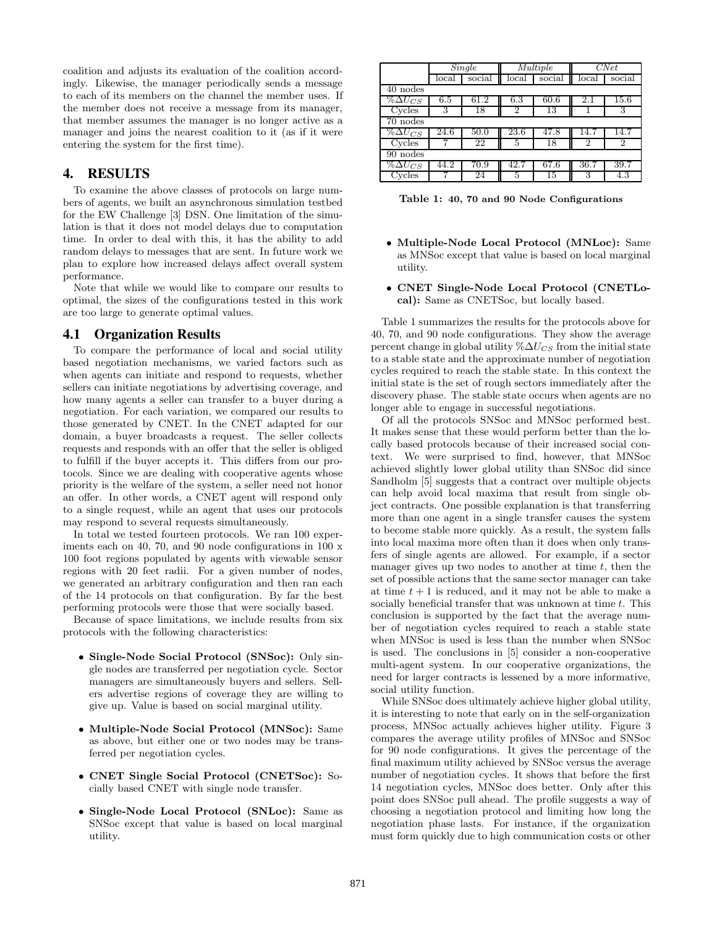coalition and adjusts its evaluation of the coalition accordingly. Likewise, the manager periodically sends a message to each of its members on the channel the member uses. If the member does not receive a message from its manager, that member assumes the manager is no longer active as a manager and joins the nearest coalition to it (as if it were entering the system for the first time).

# **4. RESULTS**

To examine the above classes of protocols on large numbers of agents, we built an asynchronous simulation testbed for the EW Challenge [3] DSN. One limitation of the simulation is that it does not model delays due to computation time. In order to deal with this, it has the ability to add random delays to messages that are sent. In future work we plan to explore how increased delays affect overall system performance.

Note that while we would like to compare our results to optimal, the sizes of the configurations tested in this work are too large to generate optimal values.

## **4.1 Organization Results**

To compare the performance of local and social utility based negotiation mechanisms, we varied factors such as when agents can initiate and respond to requests, whether sellers can initiate negotiations by advertising coverage, and how many agents a seller can transfer to a buyer during a negotiation. For each variation, we compared our results to those generated by CNET. In the CNET adapted for our domain, a buyer broadcasts a request. The seller collects requests and responds with an offer that the seller is obliged to fulfill if the buyer accepts it. This differs from our protocols. Since we are dealing with cooperative agents whose priority is the welfare of the system, a seller need not honor an offer. In other words, a CNET agent will respond only to a single request, while an agent that uses our protocols may respond to several requests simultaneously.

In total we tested fourteen protocols. We ran 100 experiments each on 40, 70, and 90 node configurations in 100 x 100 foot regions populated by agents with viewable sensor regions with 20 feet radii. For a given number of nodes, we generated an arbitrary configuration and then ran each of the 14 protocols on that configuration. By far the best performing protocols were those that were socially based.

Because of space limitations, we include results from six protocols with the following characteristics:

- **Single-Node Social Protocol (SNSoc):** Only single nodes are transferred per negotiation cycle. Sector managers are simultaneously buyers and sellers. Sellers advertise regions of coverage they are willing to give up. Value is based on social marginal utility.
- **Multiple-Node Social Protocol (MNSoc):** Same as above, but either one or two nodes may be transferred per negotiation cycles.
- **CNET Single Social Protocol (CNETSoc):** Socially based CNET with single node transfer.
- **Single-Node Local Protocol (SNLoc):** Same as SNSoc except that value is based on local marginal utility.

|                    | Single |        | Multiple |        | CNet    |        |
|--------------------|--------|--------|----------|--------|---------|--------|
|                    | local  | social | local    | social | local   | social |
| 40 nodes           |        |        |          |        |         |        |
| $\% \Delta U_{CS}$ | 6.5    | 61.2   | 6.3      | 60.6   | $2.1\,$ | 15.6   |
| Cycles             | 3      | 18     | 2        | 13     |         | 3      |
| 70 nodes           |        |        |          |        |         |        |
| $\% \Delta U_{CS}$ | 24.6   | 50.0   | 23.6     | 47.8   | 14.7    | 14.7   |
| Cycles             |        | 22     |          | 18     | 2       | 2      |
| 90 nodes           |        |        |          |        |         |        |
| $\%\Delta U_{CS}$  | 44.2   | 70.9   | 42.7     | 67.6   | 36.7    | 39.7   |
| Cycles             |        | 24     | 5        | 15     | 3       | 4.3    |

**Table 1: 40, 70 and 90 Node Configurations**

- **Multiple-Node Local Protocol (MNLoc):** Same as MNSoc except that value is based on local marginal utility.
- **CNET Single-Node Local Protocol (CNETLocal):** Same as CNETSoc, but locally based.

Table 1 summarizes the results for the protocols above for 40, 70, and 90 node configurations. They show the average percent change in global utility  $\% \Delta U_{CS}$  from the initial state to a stable state and the approximate number of negotiation cycles required to reach the stable state. In this context the initial state is the set of rough sectors immediately after the discovery phase. The stable state occurs when agents are no longer able to engage in successful negotiations.

Of all the protocols SNSoc and MNSoc performed best. It makes sense that these would perform better than the locally based protocols because of their increased social context. We were surprised to find, however, that MNSoc achieved slightly lower global utility than SNSoc did since Sandholm [5] suggests that a contract over multiple objects can help avoid local maxima that result from single object contracts. One possible explanation is that transferring more than one agent in a single transfer causes the system to become stable more quickly. As a result, the system falls into local maxima more often than it does when only transfers of single agents are allowed. For example, if a sector manager gives up two nodes to another at time *t*, then the set of possible actions that the same sector manager can take at time  $t + 1$  is reduced, and it may not be able to make a socially beneficial transfer that was unknown at time *t*. This conclusion is supported by the fact that the average number of negotiation cycles required to reach a stable state when MNSoc is used is less than the number when SNSoc is used. The conclusions in [5] consider a non-cooperative multi-agent system. In our cooperative organizations, the need for larger contracts is lessened by a more informative, social utility function.

While SNSoc does ultimately achieve higher global utility, it is interesting to note that early on in the self-organization process, MNSoc actually achieves higher utility. Figure 3 compares the average utility profiles of MNSoc and SNSoc for 90 node configurations. It gives the percentage of the final maximum utility achieved by SNSoc versus the average number of negotiation cycles. It shows that before the first 14 negotiation cycles, MNSoc does better. Only after this point does SNSoc pull ahead. The profile suggests a way of choosing a negotiation protocol and limiting how long the negotiation phase lasts. For instance, if the organization must form quickly due to high communication costs or other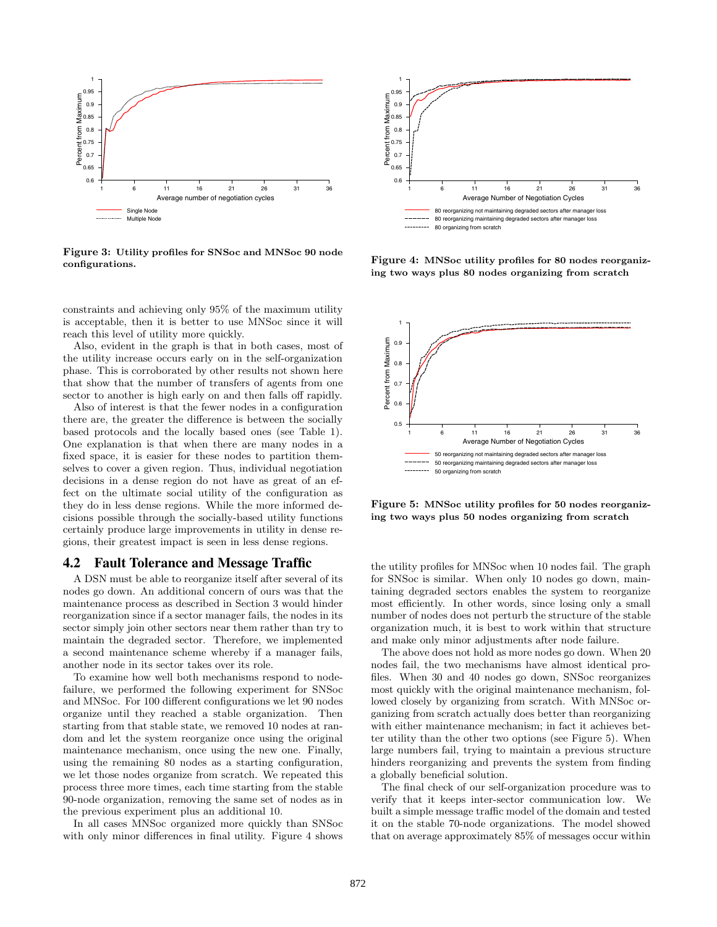

**Figure 3: Utility profiles for SNSoc and MNSoc 90 node configurations.**

constraints and achieving only 95% of the maximum utility is acceptable, then it is better to use MNSoc since it will reach this level of utility more quickly.

Also, evident in the graph is that in both cases, most of the utility increase occurs early on in the self-organization phase. This is corroborated by other results not shown here that show that the number of transfers of agents from one sector to another is high early on and then falls off rapidly.

Also of interest is that the fewer nodes in a configuration there are, the greater the difference is between the socially based protocols and the locally based ones (see Table 1). One explanation is that when there are many nodes in a fixed space, it is easier for these nodes to partition themselves to cover a given region. Thus, individual negotiation decisions in a dense region do not have as great of an effect on the ultimate social utility of the configuration as they do in less dense regions. While the more informed decisions possible through the socially-based utility functions certainly produce large improvements in utility in dense regions, their greatest impact is seen in less dense regions.

#### **4.2 Fault Tolerance and Message Traffic**

A DSN must be able to reorganize itself after several of its nodes go down. An additional concern of ours was that the maintenance process as described in Section 3 would hinder reorganization since if a sector manager fails, the nodes in its sector simply join other sectors near them rather than try to maintain the degraded sector. Therefore, we implemented a second maintenance scheme whereby if a manager fails, another node in its sector takes over its role.

To examine how well both mechanisms respond to nodefailure, we performed the following experiment for SNSoc and MNSoc. For 100 different configurations we let 90 nodes organize until they reached a stable organization. Then starting from that stable state, we removed 10 nodes at random and let the system reorganize once using the original maintenance mechanism, once using the new one. Finally, using the remaining 80 nodes as a starting configuration, we let those nodes organize from scratch. We repeated this process three more times, each time starting from the stable 90-node organization, removing the same set of nodes as in the previous experiment plus an additional 10.

In all cases MNSoc organized more quickly than SNSoc with only minor differences in final utility. Figure 4 shows



**Figure 4: MNSoc utility profiles for 80 nodes reorganizing two ways plus 80 nodes organizing from scratch**



**Figure 5: MNSoc utility profiles for 50 nodes reorganizing two ways plus 50 nodes organizing from scratch**

the utility profiles for MNSoc when 10 nodes fail. The graph for SNSoc is similar. When only 10 nodes go down, maintaining degraded sectors enables the system to reorganize most efficiently. In other words, since losing only a small number of nodes does not perturb the structure of the stable organization much, it is best to work within that structure and make only minor adjustments after node failure.

The above does not hold as more nodes go down. When 20 nodes fail, the two mechanisms have almost identical profiles. When 30 and 40 nodes go down, SNSoc reorganizes most quickly with the original maintenance mechanism, followed closely by organizing from scratch. With MNSoc organizing from scratch actually does better than reorganizing with either maintenance mechanism; in fact it achieves better utility than the other two options (see Figure 5). When large numbers fail, trying to maintain a previous structure hinders reorganizing and prevents the system from finding a globally beneficial solution.

The final check of our self-organization procedure was to verify that it keeps inter-sector communication low. We built a simple message traffic model of the domain and tested it on the stable 70-node organizations. The model showed that on average approximately 85% of messages occur within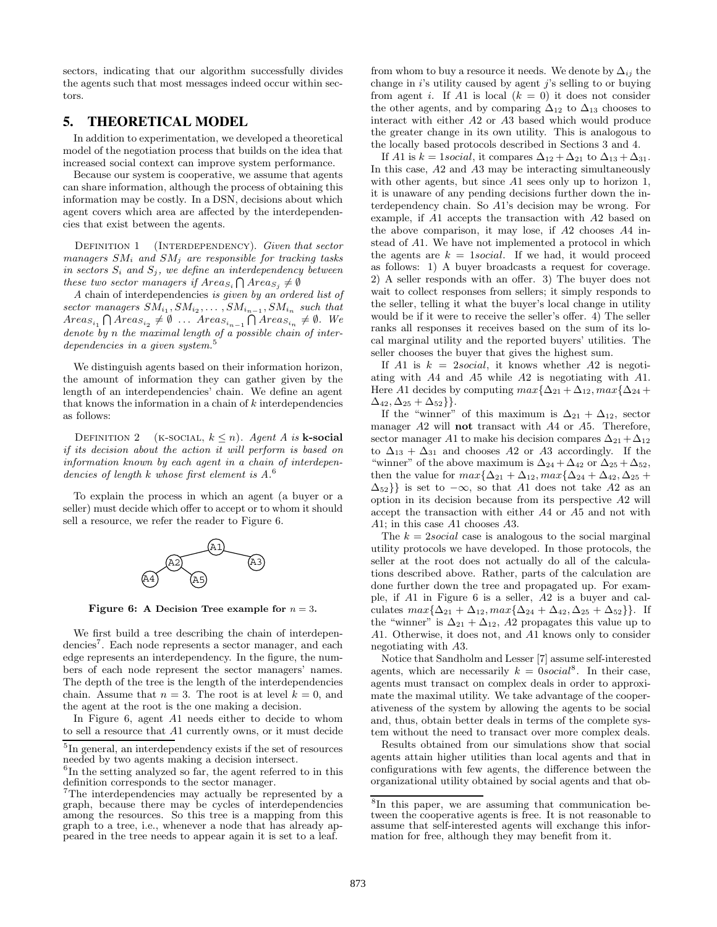sectors, indicating that our algorithm successfully divides the agents such that most messages indeed occur within sectors.

# **5. THEORETICAL MODEL**

In addition to experimentation, we developed a theoretical model of the negotiation process that builds on the idea that increased social context can improve system performance.

Because our system is cooperative, we assume that agents can share information, although the process of obtaining this information may be costly. In a DSN, decisions about which agent covers which area are affected by the interdependencies that exist between the agents.

Definition 1 (Interdependency). *Given that sector managers SM*<sup>i</sup> *and SM*<sup>j</sup> *are responsible for tracking tasks in sectors*  $S_i$  *and*  $S_j$ *, we define an interdependency between these two sector managers if*  $Area_{S_i} \bigcap Area_{S_j} \neq \emptyset$ 

*A* chain of interdependencies *is given by an ordered list of*  $\text{sector managers} \; SM_{i_1}, SM_{i_2}, \ldots, SM_{i_{n-1}}, SM_{i_n} \; \text{such that}$  $Area_{S_{i_1}} \bigcap Area_{S_{i_2}} \neq \emptyset \dots \text{ } Area_{S_{i_{n-1}}} \bigcap Area_{S_{i_n}} \neq \emptyset.$  We *denote by n the maximal length of a possible chain of interdependencies in a given system.*<sup>5</sup>

We distinguish agents based on their information horizon, the amount of information they can gather given by the length of an interdependencies' chain. We define an agent that knows the information in a chain of *k* interdependencies as follows:

DEFINITION 2 (K-SOCIAL,  $k \leq n$ ). *Agent A is* **k-social** *if its decision about the action it will perform is based on information known by each agent in a chain of interdependencies of length k whose first element is A.*<sup>6</sup>

To explain the process in which an agent (a buyer or a seller) must decide which offer to accept or to whom it should sell a resource, we refer the reader to Figure 6.



**Figure 6:** A Decision Tree example for  $n = 3$ .

We first build a tree describing the chain of interdependencies<sup>7</sup>. Each node represents a sector manager, and each edge represents an interdependency. In the figure, the numbers of each node represent the sector managers' names. The depth of the tree is the length of the interdependencies chain. Assume that  $n = 3$ . The root is at level  $k = 0$ , and the agent at the root is the one making a decision.

In Figure 6, agent *A*1 needs either to decide to whom to sell a resource that *A*1 currently owns, or it must decide from whom to buy a resource it needs. We denote by  $\Delta_{ij}$  the change in *i*'s utility caused by agent *j*'s selling to or buying from agent *i*. If A1 is local  $(k = 0)$  it does not consider the other agents, and by comparing  $\Delta_{12}$  to  $\Delta_{13}$  chooses to interact with either *A*2 or *A*3 based which would produce the greater change in its own utility. This is analogous to the locally based protocols described in Sections 3 and 4.

If *A*1 is  $k = 1$ *social*, it compares  $\Delta_{12} + \Delta_{21}$  to  $\Delta_{13} + \Delta_{31}$ . In this case, *A*2 and *A*3 may be interacting simultaneously with other agents, but since *A*1 sees only up to horizon 1, it is unaware of any pending decisions further down the interdependency chain. So *A*1's decision may be wrong. For example, if *A*1 accepts the transaction with *A*2 based on the above comparison, it may lose, if *A*2 chooses *A*4 instead of *A*1. We have not implemented a protocol in which the agents are  $k = 1 \text{social}$ . If we had, it would proceed as follows: 1) A buyer broadcasts a request for coverage. 2) A seller responds with an offer. 3) The buyer does not wait to collect responses from sellers; it simply responds to the seller, telling it what the buyer's local change in utility would be if it were to receive the seller's offer. 4) The seller ranks all responses it receives based on the sum of its local marginal utility and the reported buyers' utilities. The seller chooses the buyer that gives the highest sum.

If  $A1$  is  $k = 2\text{social}$ , it knows whether  $A2$  is negotiating with *A*4 and *A*5 while *A*2 is negotiating with *A*1. Here *A*1 decides by computing  $max\{\Delta_{21} + \Delta_{12}, max\{\Delta_{24} + \Delta_{16}\}\}$  $\Delta_{42}, \Delta_{25} + \Delta_{52}$ }.

If the "winner" of this maximum is  $\Delta_{21} + \Delta_{12}$ , sector manager *A*2 will **not** transact with *A*4 or *A*5. Therefore, sector manager *A*1 to make his decision compares  $\Delta_{21} + \Delta_{12}$ to  $\Delta_{13} + \Delta_{31}$  and chooses A2 or A3 accordingly. If the "winner" of the above maximum is  $\Delta_{24} + \Delta_{42}$  or  $\Delta_{25} + \Delta_{52}$ , then the value for  $max{\{\Delta_{21} + \Delta_{12}, max\{\Delta_{24} + \Delta_{42}, \Delta_{25} + \Delta_{16}\}}$  $\{\Delta_{52}\}\}\$ is set to  $-\infty$ , so that *A*1 does not take *A*2 as an option in its decision because from its perspective *A*2 will accept the transaction with either *A*4 or *A*5 and not with *A*1; in this case *A*1 chooses *A*3.

The *k* = 2*social* case is analogous to the social marginal utility protocols we have developed. In those protocols, the seller at the root does not actually do all of the calculations described above. Rather, parts of the calculation are done further down the tree and propagated up. For example, if *A*1 in Figure 6 is a seller, *A*2 is a buyer and calculates  $max\{\Delta_{21} + \Delta_{12}, max\{\Delta_{24} + \Delta_{42}, \Delta_{25} + \Delta_{52}\}\}.$  If the "winner" is  $\Delta_{21} + \Delta_{12}$ , A2 propagates this value up to *A*1. Otherwise, it does not, and *A*1 knows only to consider negotiating with *A*3.

Notice that Sandholm and Lesser [7] assume self-interested agents, which are necessarily  $k = 0$ *social*<sup>8</sup>. In their case, agents must transact on complex deals in order to approximate the maximal utility. We take advantage of the cooperativeness of the system by allowing the agents to be social and, thus, obtain better deals in terms of the complete system without the need to transact over more complex deals.

Results obtained from our simulations show that social agents attain higher utilities than local agents and that in configurations with few agents, the difference between the organizational utility obtained by social agents and that ob-

<sup>5</sup>In general, an interdependency exists if the set of resources needed by two agents making a decision intersect.

 ${}^{6}$ In the setting analyzed so far, the agent referred to in this definition corresponds to the sector manager.

<sup>7</sup>The interdependencies may actually be represented by a graph, because there may be cycles of interdependencies among the resources. So this tree is a mapping from this graph to a tree, i.e., whenever a node that has already appeared in the tree needs to appear again it is set to a leaf.

<sup>8</sup>In this paper, we are assuming that communication between the cooperative agents is free. It is not reasonable to assume that self-interested agents will exchange this information for free, although they may benefit from it.